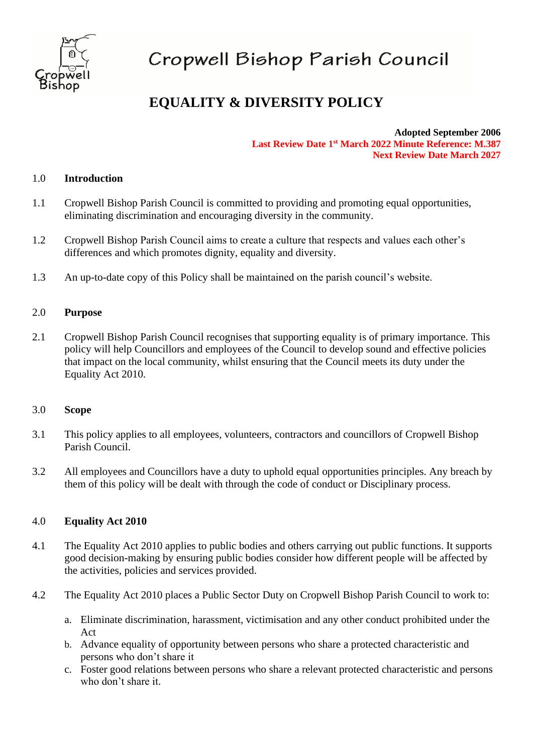

# Cropwell Bishop Parish Council

# **EQUALITY & DIVERSITY POLICY**

**Adopted September 2006 Last Review Date 1 st March 2022 Minute Reference: M.387 Next Review Date March 2027**

### 1.0 **Introduction**

- 1.1 Cropwell Bishop Parish Council is committed to providing and promoting equal opportunities, eliminating discrimination and encouraging diversity in the community.
- 1.2 Cropwell Bishop Parish Council aims to create a culture that respects and values each other's differences and which promotes dignity, equality and diversity.
- 1.3 An up-to-date copy of this Policy shall be maintained on the parish council's website.

#### 2.0 **Purpose**

2.1 Cropwell Bishop Parish Council recognises that supporting equality is of primary importance. This policy will help Councillors and employees of the Council to develop sound and effective policies that impact on the local community, whilst ensuring that the Council meets its duty under the Equality Act 2010.

#### 3.0 **Scope**

- 3.1 This policy applies to all employees, volunteers, contractors and councillors of Cropwell Bishop Parish Council.
- 3.2 All employees and Councillors have a duty to uphold equal opportunities principles. Any breach by them of this policy will be dealt with through the code of conduct or Disciplinary process.

#### 4.0 **Equality Act 2010**

- 4.1 The Equality Act 2010 applies to public bodies and others carrying out public functions. It supports good decision-making by ensuring public bodies consider how different people will be affected by the activities, policies and services provided.
- 4.2 The Equality Act 2010 places a Public Sector Duty on Cropwell Bishop Parish Council to work to:
	- a. Eliminate discrimination, harassment, victimisation and any other conduct prohibited under the Act
	- b. Advance equality of opportunity between persons who share a protected characteristic and persons who don't share it
	- c. Foster good relations between persons who share a relevant protected characteristic and persons who don't share it.